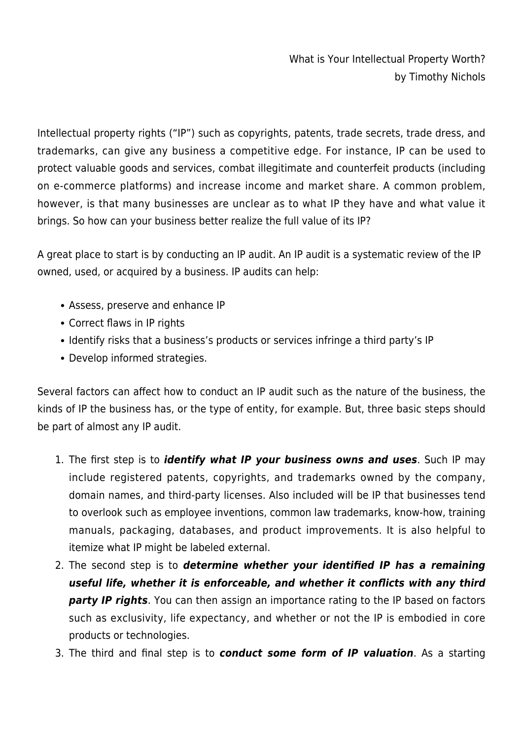What is Your Intellectual Property Worth? by Timothy Nichols

Intellectual property rights ("IP") such as copyrights, patents, trade secrets, trade dress, and trademarks, can give any business a competitive edge. For instance, IP can be used to protect valuable goods and services, combat illegitimate and counterfeit products (including on e-commerce platforms) and increase income and market share. A common problem, however, is that many businesses are unclear as to what IP they have and what value it brings. So how can your business better realize the full value of its IP?

A great place to start is by conducting an IP audit. An IP audit is a systematic review of the IP owned, used, or acquired by a business. IP audits can help:

- Assess, preserve and enhance IP
- Correct flaws in IP rights
- Identify risks that a business's products or services infringe a third party's IP
- Develop informed strategies.

Several factors can affect how to conduct an IP audit such as the nature of the business, the kinds of IP the business has, or the type of entity, for example. But, three basic steps should be part of almost any IP audit.

- 1. The first step is to *identify what IP your business owns and uses*. Such IP may include registered patents, copyrights, and trademarks owned by the company, domain names, and third-party licenses. Also included will be IP that businesses tend to overlook such as employee inventions, common law trademarks, know-how, training manuals, packaging, databases, and product improvements. It is also helpful to itemize what IP might be labeled external.
- 2. The second step is to *determine whether your identified IP has a remaining useful life, whether it is enforceable, and whether it conflicts with any third party IP rights*. You can then assign an importance rating to the IP based on factors such as exclusivity, life expectancy, and whether or not the IP is embodied in core products or technologies.
- 3. The third and final step is to *conduct some form of IP valuation*. As a starting